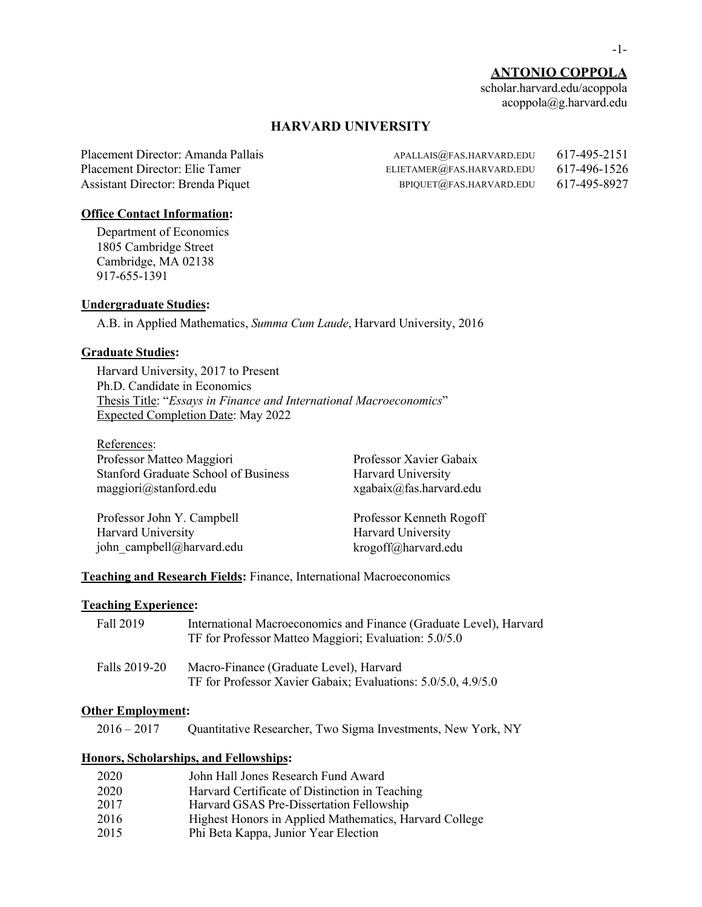# **ANTONIO COPPOLA**

scholar.harvard.edu/acoppola acoppola@g.harvard.edu

# **HARVARD UNIVERSITY**

| APALLAIS@FAS.HARVARD.EDU      | 617-495-2151 |
|-------------------------------|--------------|
| ELIETAMER $@$ FAS.HARVARD.EDU | 617-496-1526 |
| BPIQUET@FAS.HARVARD.EDU       | 617-495-8927 |
|                               |              |

## **Office Contact Information:**

Department of Economics 1805 Cambridge Street Cambridge, MA 02138 917-655-1391

# **Undergraduate Studies:**

A.B. in Applied Mathematics, *Summa Cum Laude*, Harvard University, 2016

# **Graduate Studies:**

Harvard University, 2017 to Present Ph.D. Candidate in Economics Thesis Title: "*Essays in Finance and International Macroeconomics*" Expected Completion Date: May 2022

References: Professor Matteo Maggiori Professor Xavier Gabaix Stanford Graduate School of Business Harvard University maggiori@stanford.edu xgabaix@fas.harvard.edu

Professor John Y. Campbell Professor Kenneth Rogoff Harvard University **Harvard University** john campbell@harvard.edu krogoff@harvard.edu

**Teaching and Research Fields:** Finance, International Macroeconomics

### **Teaching Experience:**

| Fall 2019     | International Macroeconomics and Finance (Graduate Level), Harvard<br>TF for Professor Matteo Maggiori; Evaluation: 5.0/5.0 |
|---------------|-----------------------------------------------------------------------------------------------------------------------------|
| Falls 2019-20 | Macro-Finance (Graduate Level), Harvard<br>TF for Professor Xavier Gabaix; Evaluations: 5.0/5.0, 4.9/5.0                    |

### **Other Employment:**

2016 – 2017 Quantitative Researcher, Two Sigma Investments, New York, NY

### **Honors, Scholarships, and Fellowships:**

| 2020 | John Hall Jones Research Fund Award                    |
|------|--------------------------------------------------------|
| 2020 | Harvard Certificate of Distinction in Teaching         |
| 2017 | Harvard GSAS Pre-Dissertation Fellowship               |
| 2016 | Highest Honors in Applied Mathematics, Harvard College |
| 2015 | Phi Beta Kappa, Junior Year Election                   |